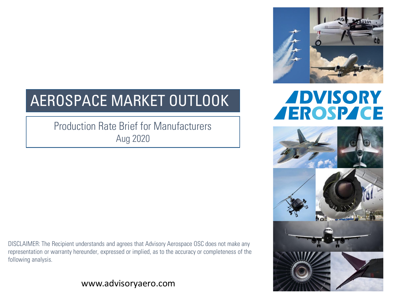

## **ADVISORY AEROSPACE**



# AEROSPACE MARKET OUTLOOK

#### Production Rate Brief for Manufacturers Aug 2020

DISCLAIMER: The Recipient understands and agrees that Advisory Aerospace OSC does not make any representation or warranty hereunder, expressed or implied, as to the accuracy or completeness of the following analysis.

#### www.advisoryaero.com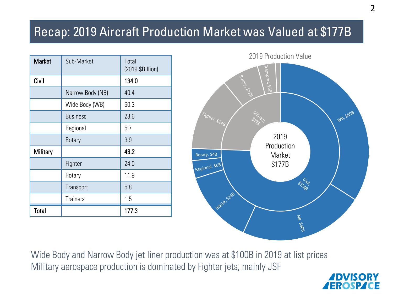## Recap: 2019 Aircraft Production Market was Valued at \$177B

| <b>Market</b> | Sub-Market       | Total<br>(2019 \$Billion) |
|---------------|------------------|---------------------------|
| Civil         |                  | 134.0                     |
|               | Narrow Body (NB) | 40.4                      |
|               | Wide Body (WB)   | 60.3                      |
|               | <b>Business</b>  | 23.6                      |
|               | Regional         | 5.7                       |
|               | Rotary           | 3.9                       |
| Military      |                  | 43.2                      |
|               | Fighter          | 24.0                      |
|               | Rotary           | 11.9                      |
|               | Transport        | 5.8                       |
|               | <b>Trainers</b>  | 1.5                       |
| Total         |                  | 177.3                     |



Wide Body and Narrow Body jet liner production was at \$100B in 2019 at list prices Military aerospace production is dominated by Fighter jets, mainly JSF

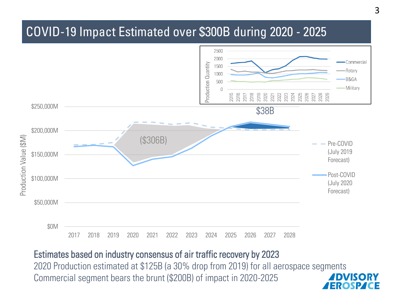## COVID-19 Impact Estimated over \$300B during 2020 - 2025



#### Estimates based on industry consensus of air traffic recovery by 2023

2020 Production estimated at \$125B (a 30% drop from 2019) for all aerospace segments Commercial segment bears the brunt (\$200B) of impact in 2020-2025 ERO.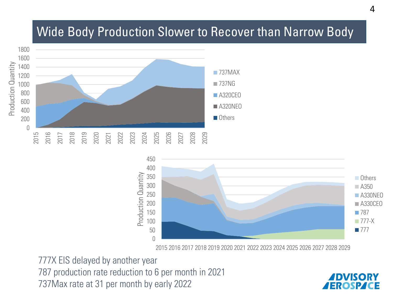#### Wide Body Production Slower to Recover than Narrow Body





2016 2017 2018 2019 2020 2021 2022 2023 2024 2025 2026 2027 2028 2029

777X EIS delayed by another year 787 production rate reduction to 6 per month in 2021 737Max rate at 31 per month by early 2022

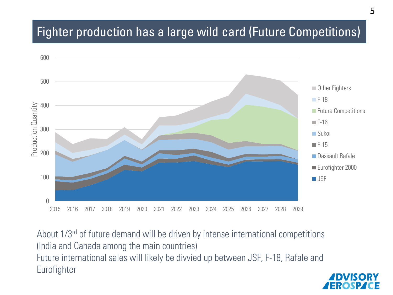## Fighter production has a large wild card (Future Competitions)



About 1/3<sup>rd</sup> of future demand will be driven by intense international competitions (India and Canada among the main countries) Future international sales will likely be divvied up between JSF, F-18, Rafale and Eurofighter

EROSP K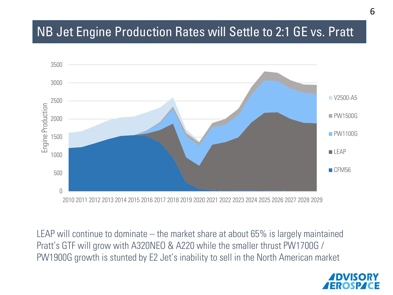## NB Jet Engine Production Rates will Settle to 2:1 GE vs. Pratt



LEAP will continue to dominate – the market share at about 65% is largely maintained Pratt's GTF will grow with A320NEO & A220 while the smaller thrust PW1700G / PW1900G growth is stunted by E2 Jet's inability to sell in the North American market

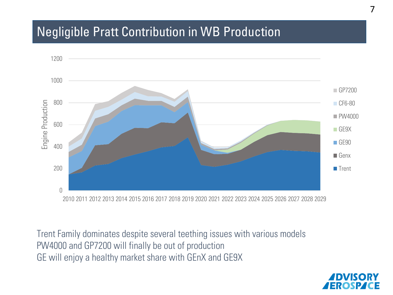#### Negligible Pratt Contribution in WB Production



Trent Family dominates despite several teething issues with various models PW4000 and GP7200 will finally be out of production GE will enjoy a healthy market share with GEnX and GE9X

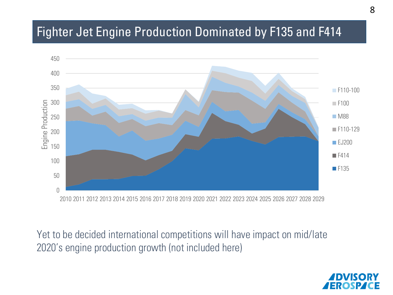## Fighter Jet Engine Production Dominated by F135 and F414



Yet to be decided international competitions will have impact on mid/late 2020's engine production growth (not included here)